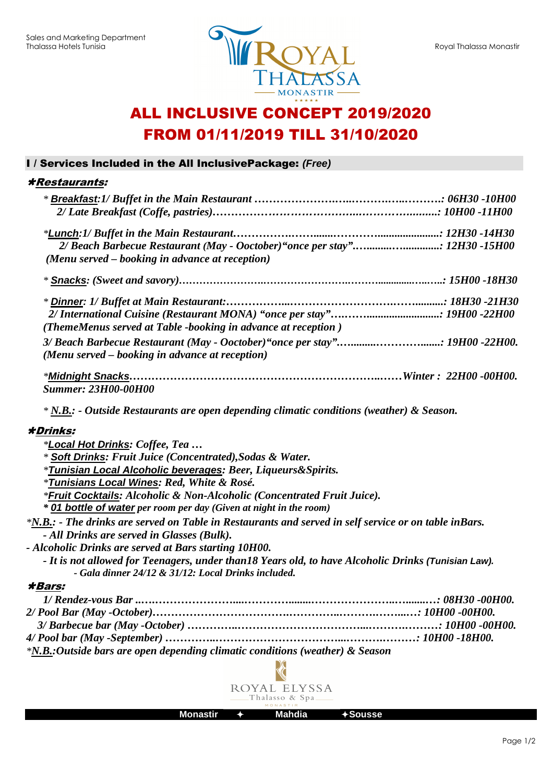

# ALL INCLUSIVE CONCEPT 2019/2020 FROM 01/11/2019 TILL 31/10/2020

# I / Services Included in the All InclusivePackage: **(Free)**

### Restaurants:

| 2/ Beach Barbecue Restaurant (May - Ooctober)" once per stay" 12H30 -15H00                                                                                  |  |
|-------------------------------------------------------------------------------------------------------------------------------------------------------------|--|
| (Menu served – booking in advance at reception)                                                                                                             |  |
|                                                                                                                                                             |  |
|                                                                                                                                                             |  |
|                                                                                                                                                             |  |
| (ThemeMenus served at Table -booking in advance at reception)                                                                                               |  |
| 3/ Beach Barbecue Restaurant (May - Ooctober)" once per stay": 19H00 -22H00.                                                                                |  |
| (Menu served – booking in advance at reception)                                                                                                             |  |
|                                                                                                                                                             |  |
| <b>Summer: 23H00-00H00</b>                                                                                                                                  |  |
| $*$ N.B.: - Outside Restaurants are open depending climatic conditions (weather) & Season.                                                                  |  |
| <b>*Drinks:</b>                                                                                                                                             |  |
| *Local Hot Drinks: Coffee, Tea                                                                                                                              |  |
| * Soft Drinks: Fruit Juice (Concentrated), Sodas & Water.                                                                                                   |  |
| <i>*Tunisian Local Alcoholic beverages: Beer, Liqueurs&amp;Spirits.</i>                                                                                     |  |
| <i><b>*Tunisians Local Wines: Red, White &amp; Rosé.</b></i>                                                                                                |  |
| *Fruit Cocktails: Alcoholic & Non-Alcoholic (Concentrated Fruit Juice).                                                                                     |  |
| * 01 bottle of water per room per day (Given at night in the room)                                                                                          |  |
| *N.B.: - The drinks are served on Table in Restaurants and served in self service or on table inBars.                                                       |  |
| - All Drinks are served in Glasses (Bulk).                                                                                                                  |  |
| - Alcoholic Drinks are served at Bars starting 10H00.                                                                                                       |  |
| - It is not allowed for Teenagers, under than 18 Years old, to have Alcoholic Drinks (Tunisian Law).<br>- Gala dinner 24/12 & 31/12: Local Drinks included. |  |
| <i><b>*Bars:</b></i>                                                                                                                                        |  |
|                                                                                                                                                             |  |
|                                                                                                                                                             |  |
|                                                                                                                                                             |  |
|                                                                                                                                                             |  |
| $\mathbf{r}$ and $\mathbf{r}$ and $\mathbf{r}$ and $\mathbf{r}$ and $\mathbf{r}$ and $\mathbf{r}$ and $\mathbf{r}$                                          |  |